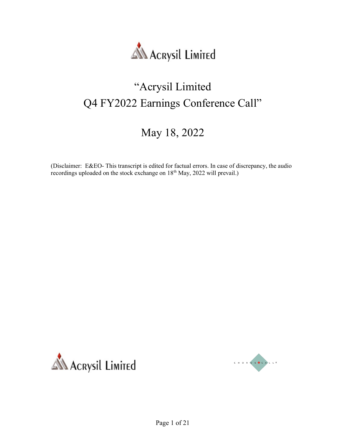

#### "Acrysil Limited Q4 FY2022 Earnings Conference Call"

#### May 18, 2022

(Disclaimer: E&EO- This transcript is edited for factual errors. In case of discrepancy, the audio recordings uploaded on the stock exchange on 18th May, 2022 will prevail.)



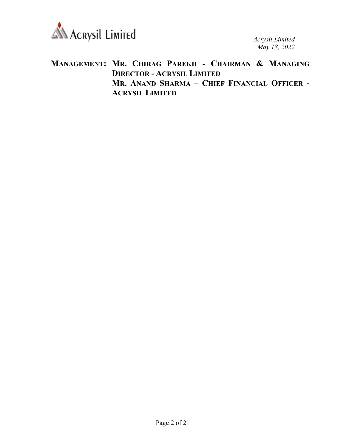

#### MANAGEMENT: MR. CHIRAG PAREKH - CHAIRMAN & MANAGING DIRECTOR - ACRYSIL LIMITED MR. ANAND SHARMA – CHIEF FINANCIAL OFFICER - ACRYSIL LIMITED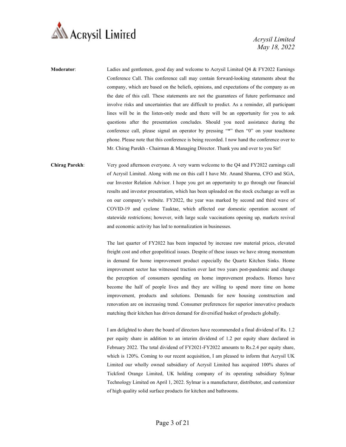

- Moderator: Ladies and gentlemen, good day and welcome to Acrysil Limited Q4 & FY2022 Earnings Conference Call. This conference call may contain forward-looking statements about the company, which are based on the beliefs, opinions, and expectations of the company as on the date of this call. These statements are not the guarantees of future performance and involve risks and uncertainties that are difficult to predict. As a reminder, all participant lines will be in the listen-only mode and there will be an opportunity for you to ask questions after the presentation concludes. Should you need assistance during the conference call, please signal an operator by pressing "\*" then "0" on your touchtone phone. Please note that this conference is being recorded. I now hand the conference over to Mr. Chirag Parekh - Chairman & Managing Director. Thank you and over to you Sir!
- Chirag Parekh: Very good afternoon everyone. A very warm welcome to the Q4 and FY2022 earnings call of Acrysil Limited. Along with me on this call I have Mr. Anand Sharma, CFO and SGA, our Investor Relation Advisor. I hope you got an opportunity to go through our financial results and investor presentation, which has been uploaded on the stock exchange as well as on our company's website. FY2022, the year was marked by second and third wave of COVID-19 and cyclone Tauktae, which affected our domestic operation account of statewide restrictions; however, with large scale vaccinations opening up, markets revival and economic activity has led to normalization in businesses.

The last quarter of FY2022 has been impacted by increase raw material prices, elevated freight cost and other geopolitical issues. Despite of these issues we have strong momentum in demand for home improvement product especially the Quartz Kitchen Sinks. Home improvement sector has witnessed traction over last two years post-pandemic and change the perception of consumers spending on home improvement products. Homes have become the half of people lives and they are willing to spend more time on home improvement, products and solutions. Demands for new housing construction and renovation are on increasing trend. Consumer preferences for superior innovative products matching their kitchen has driven demand for diversified basket of products globally.

I am delighted to share the board of directors have recommended a final dividend of Rs. 1.2 per equity share in addition to an interim dividend of 1.2 per equity share declared in February 2022. The total dividend of FY2021-FY2022 amounts to Rs.2.4 per equity share, which is 120%. Coming to our recent acquisition, I am pleased to inform that Acrysil UK Limited our wholly owned subsidiary of Acrysil Limited has acquired 100% shares of Tickford Orange Limited, UK holding company of its operating subsidiary Sylmar Technology Limited on April 1, 2022. Sylmar is a manufacturer, distributor, and customizer of high quality solid surface products for kitchen and bathrooms.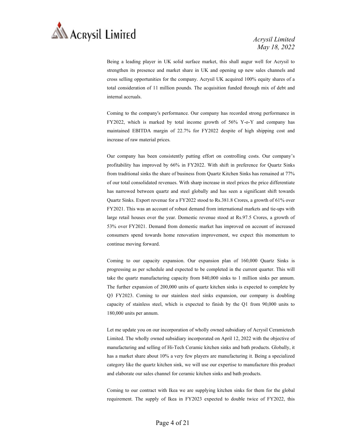

Being a leading player in UK solid surface market, this shall augur well for Acrysil to strengthen its presence and market share in UK and opening up new sales channels and cross selling opportunities for the company. Acrysil UK acquired 100% equity shares of a total consideration of 11 million pounds. The acquisition funded through mix of debt and internal accruals.

Coming to the company's performance. Our company has recorded strong performance in FY2022, which is marked by total income growth of 56% Y-o-Y and company has maintained EBITDA margin of 22.7% for FY2022 despite of high shipping cost and increase of raw material prices.

Our company has been consistently putting effort on controlling costs. Our company's profitability has improved by 66% in FY2022. With shift in preference for Quartz Sinks from traditional sinks the share of business from Quartz Kitchen Sinks has remained at 77% of our total consolidated revenues. With sharp increase in steel prices the price differentiate has narrowed between quartz and steel globally and has seen a significant shift towards Quartz Sinks. Export revenue for a FY2022 stood to Rs.381.8 Crores, a growth of 61% over FY2021. This was an account of robust demand from international markets and tie-ups with large retail houses over the year. Domestic revenue stood at Rs.97.5 Crores, a growth of 53% over FY2021. Demand from domestic market has improved on account of increased consumers spend towards home renovation improvement, we expect this momentum to continue moving forward.

Coming to our capacity expansion. Our expansion plan of 160,000 Quartz Sinks is progressing as per schedule and expected to be completed in the current quarter. This will take the quartz manufacturing capacity from 840,000 sinks to 1 million sinks per annum. The further expansion of 200,000 units of quartz kitchen sinks is expected to complete by Q3 FY2023. Coming to our stainless steel sinks expansion, our company is doubling capacity of stainless steel, which is expected to finish by the Q1 from 90,000 units to 180,000 units per annum.

Let me update you on our incorporation of wholly owned subsidiary of Acrysil Ceramictech Limited. The wholly owned subsidiary incorporated on April 12, 2022 with the objective of manufacturing and selling of Hi-Tech Ceramic kitchen sinks and bath products. Globally, it has a market share about 10% a very few players are manufacturing it. Being a specialized category like the quartz kitchen sink, we will use our expertise to manufacture this product and elaborate our sales channel for ceramic kitchen sinks and bath products.

Coming to our contract with Ikea we are supplying kitchen sinks for them for the global requirement. The supply of Ikea in FY2023 expected to double twice of FY2022, this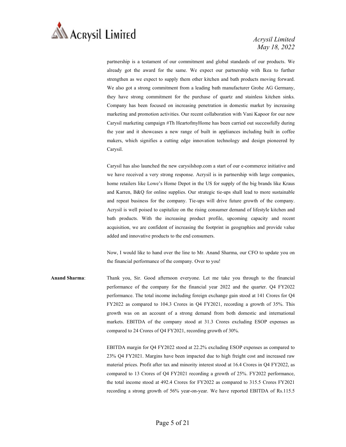

partnership is a testament of our commitment and global standards of our products. We already got the award for the same. We expect our partnership with Ikea to further strengthen as we expect to supply them other kitchen and bath products moving forward. We also got a strong commitment from a leading bath manufacturer Grohe AG Germany, they have strong commitment for the purchase of quartz and stainless kitchen sinks. Company has been focused on increasing penetration in domestic market by increasing marketing and promotion activities. Our recent collaboration with Vani Kapoor for our new Carysil marketing campaign #Th HeartofmyHome has been carried out successfully during the year and it showcases a new range of built in appliances including built in coffee makers, which signifies a cutting edge innovation technology and design pioneered by Carysil.

Carysil has also launched the new carysilshop.com a start of our e-commerce initiative and we have received a very strong response. Acrysil is in partnership with large companies, home retailers like Lowe's Home Depot in the US for supply of the big brands like Kraus and Karren, B&Q for online supplies. Our strategic tie-ups shall lead to more sustainable and repeat business for the company. Tie-ups will drive future growth of the company. Acrysil is well poised to capitalize on the rising consumer demand of lifestyle kitchen and bath products. With the increasing product profile, upcoming capacity and recent acquisition, we are confident of increasing the footprint in geographies and provide value added and innovative products to the end consumers.

Now, I would like to hand over the line to Mr. Anand Sharma, our CFO to update you on the financial performance of the company. Over to you!

Anand Sharma: Thank you, Sir. Good afternoon everyone. Let me take you through to the financial performance of the company for the financial year 2022 and the quarter. Q4 FY2022 performance. The total income including foreign exchange gain stood at 141 Crores for Q4 FY2022 as compared to 104.3 Crores in Q4 FY2021, recording a growth of 35%. This growth was on an account of a strong demand from both domestic and international markets. EBITDA of the company stood at 31.3 Crores excluding ESOP expenses as compared to 24 Crores of Q4 FY2021, recording growth of 30%.

> EBITDA margin for Q4 FY2022 stood at 22.2% excluding ESOP expenses as compared to 23% Q4 FY2021. Margins have been impacted due to high freight cost and increased raw material prices. Profit after tax and minority interest stood at 16.4 Crores in Q4 FY2022, as compared to 13 Crores of Q4 FY2021 recording a growth of 25%. FY2022 performance, the total income stood at 492.4 Crores for FY2022 as compared to 315.5 Crores FY2021 recording a strong growth of 56% year-on-year. We have reported EBITDA of Rs.115.5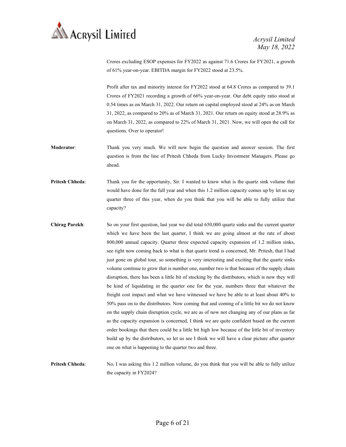

Crores excluding ESOP expenses for FY2022 as against 71.6 Crores for FY2021, a growth of 61% year-on-year. EBITDA margin for FY2022 stood at 23.5%.

Profit after tax and minority interest for FY2022 stood at 64.8 Crores as compared to 39.1 Crores of FY2021 recording a growth of 66% year-on-year. Our debt equity ratio stood at 0.54 times as on March 31, 2022. Our return on capital employed stood at 24% as on March 31, 2022, as compared to 20% as of March 31, 2021. Our return on equity stood at 28.9% as on March 31, 2022, as compared to 22% of March 31, 2021. Now, we will open the call for questions. Over to operator!

- Moderator: Thank you very much. We will now begin the question and answer session. The first question is from the line of Pritesh Chheda from Lucky Investment Managers. Please go ahead.
- Pritesh Chheda: Thank you for the opportunity, Sir. I wanted to know what is the quartz sink volume that would have done for the full year and when this 1.2 million capacity comes up by let us say quarter three of this year, when do you think that you will be able to fully utilize that capacity?
- Chirag Parekh: So on your first question, last year we did total 650,000 quartz sinks and the current quarter which we have been the last quarter, I think we are going almost at the rate of about 800,000 annual capacity. Quarter three expected capacity expansion of 1.2 million sinks, see right now coming back to what is that quartz trend is concerned, Mr. Pritesh, that I had just gone on global tour, so something is very interesting and exciting that the quartz sinks volume continue to grow that is number one, number two is that because of the supply chain disruption, there has been a little bit of stocking by the distributors, which is now they will be kind of liquidating in the quarter one for the year, numbers three that whatever the freight cost impact and what we have witnessed we have be able to at least about 40% to 50% pass on to the distributors. Now coming that and coming of a little bit we do not know on the supply chain disruption cycle, we are as of now not changing any of our plans as far as the capacity expansion is concerned, I think we are quite confident based on the current order bookings that there could be a little bit high low because of the little bit of inventory build up by the distributors, so let us see I think we will have a clear picture after quarter one on what is happening to the quarter two and three.
- Pritesh Chheda: No, I was asking this 1.2 million volume, do you think that you will be able to fully utilize the capacity in FY2024?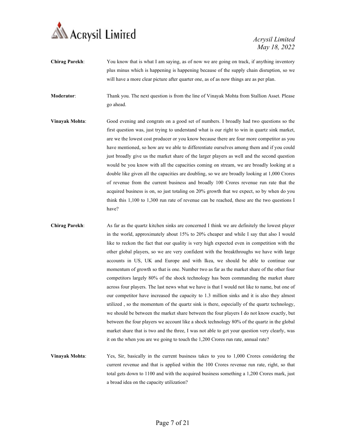

Chirag Parekh: You know that is what I am saying, as of now we are going on track, if anything inventory plus minus which is happening is happening because of the supply chain disruption, so we will have a more clear picture after quarter one, as of as now things are as per plan.

Moderator: Thank you. The next question is from the line of Vinayak Mohta from Stallion Asset. Please go ahead.

- Vinayak Mohta: Good evening and congrats on a good set of numbers. I broadly had two questions so the first question was, just trying to understand what is our right to win in quartz sink market, are we the lowest cost producer or you know because there are four more competitor as you have mentioned, so how are we able to differentiate ourselves among them and if you could just broadly give us the market share of the larger players as well and the second question would be you know with all the capacities coming on stream, we are broadly looking at a double like given all the capacities are doubling, so we are broadly looking at 1,000 Crores of revenue from the current business and broadly 100 Crores revenue run rate that the acquired business is on, so just totaling on 20% growth that we expect, so by when do you think this 1,100 to 1,300 run rate of revenue can be reached, these are the two questions I have?
- Chirag Parekh: As far as the quartz kitchen sinks are concerned I think we are definitely the lowest player in the world, approximately about 15% to 20% cheaper and while I say that also I would like to reckon the fact that our quality is very high expected even in competition with the other global players, so we are very confident with the breakthroughs we have with large accounts in US, UK and Europe and with Ikea, we should be able to continue our momentum of growth so that is one. Number two as far as the market share of the other four competitors largely 80% of the shock technology has been commanding the market share across four players. The last news what we have is that I would not like to name, but one of our competitor have increased the capacity to 1.3 million sinks and it is also they almost utilized , so the momentum of the quartz sink is there, especially of the quartz technology, we should be between the market share between the four players I do not know exactly, but between the four players we account like a shock technology 80% of the quartz in the global market share that is two and the three, I was not able to get your question very clearly, was it on the when you are we going to touch the 1,200 Crores run rate, annual rate?
- Vinayak Mohta: Yes, Sir, basically in the current business takes to you to 1,000 Crores considering the current revenue and that is applied within the 100 Crores revenue run rate, right, so that total gets down to 1100 and with the acquired business something a 1,200 Crores mark, just a broad idea on the capacity utilization?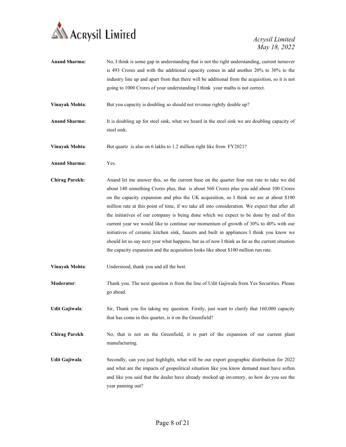

| <b>Anand Sharma:</b>  | No, I think is some gap in understanding that is not the right understanding, current turnover<br>is 493 Crores and with the additional capacity comes in add another 20% to 30% to the                                                                                                                                                                                                                                                                                                                                                                                                                                                                                                                                                                                                                                                                    |
|-----------------------|------------------------------------------------------------------------------------------------------------------------------------------------------------------------------------------------------------------------------------------------------------------------------------------------------------------------------------------------------------------------------------------------------------------------------------------------------------------------------------------------------------------------------------------------------------------------------------------------------------------------------------------------------------------------------------------------------------------------------------------------------------------------------------------------------------------------------------------------------------|
|                       | industry line up and apart from that there will be additional from the acquisition, so it is not                                                                                                                                                                                                                                                                                                                                                                                                                                                                                                                                                                                                                                                                                                                                                           |
|                       | going to 1000 Crores of your understanding I think your maths is not correct.                                                                                                                                                                                                                                                                                                                                                                                                                                                                                                                                                                                                                                                                                                                                                                              |
| <b>Vinayak Mohta:</b> | But you capacity is doubling so should not revenue rightly double up?                                                                                                                                                                                                                                                                                                                                                                                                                                                                                                                                                                                                                                                                                                                                                                                      |
| <b>Anand Sharma:</b>  | It is doubling up for steel sink, what we heard in the steel sink we are doubling capacity of<br>steel sink.                                                                                                                                                                                                                                                                                                                                                                                                                                                                                                                                                                                                                                                                                                                                               |
| Vinayak Mohta:        | But quartz is also on 6 lakhs to 1.2 million right like from FY2021?                                                                                                                                                                                                                                                                                                                                                                                                                                                                                                                                                                                                                                                                                                                                                                                       |
| <b>Anand Sharma:</b>  | Yes.                                                                                                                                                                                                                                                                                                                                                                                                                                                                                                                                                                                                                                                                                                                                                                                                                                                       |
| <b>Chirag Parekh:</b> | Anand let me answer this, so the current base on the quarter four run rate to take we did<br>about 140 something Crores plus, that is about 560 Crores plus you add about 100 Crores<br>on the capacity expansion and plus the UK acquisition, so I think we are at about \$100<br>million rate at this point of time, if we take all into consideration. We expect that after all<br>the initiatives of our company is being done which we expect to be done by end of this<br>current year we would like to continue our momentum of growth of 30% to 40% with our<br>initiatives of ceramic kitchen sink, faucets and built in appliances I think you know we<br>should let us say next year what happens, but as of now I think as far as the current situation<br>the capacity expansion and the acquisition looks like about \$100 million run rate. |
| Vinayak Mohta:        | Understood, thank you and all the best.                                                                                                                                                                                                                                                                                                                                                                                                                                                                                                                                                                                                                                                                                                                                                                                                                    |
| Moderator:            | Thank you. The next question is from the line of Udit Gajiwala from Yes Securities. Please<br>go ahead.                                                                                                                                                                                                                                                                                                                                                                                                                                                                                                                                                                                                                                                                                                                                                    |
| Udit Gajiwala:        | Sir, Thank you for taking my question. Firstly, just want to clarify that 160,000 capacity<br>that has come in this quarter, is it on the Greenfield?                                                                                                                                                                                                                                                                                                                                                                                                                                                                                                                                                                                                                                                                                                      |
| <b>Chirag Parekh:</b> | No, that is not on the Greenfield, it is part of the expansion of our current plant<br>manufacturing.                                                                                                                                                                                                                                                                                                                                                                                                                                                                                                                                                                                                                                                                                                                                                      |
| <b>Udit Gajiwala:</b> | Secondly, can you just highlight, what will be our export geographic distribution for 2022<br>and what are the impacts of geopolitical situation like you know demand must have soften<br>and like you said that the dealer have already stocked up inventory, so how do you see the<br>year panning out?                                                                                                                                                                                                                                                                                                                                                                                                                                                                                                                                                  |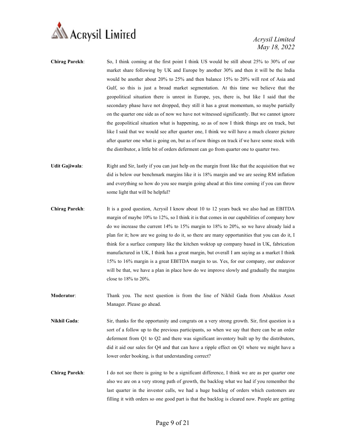

- Chirag Parekh: So, I think coming at the first point I think US would be still about 25% to 30% of our market share following by UK and Europe by another 30% and then it will be the India would be another about 20% to 25% and then balance 15% to 20% will rest of Asia and Gulf, so this is just a broad market segmentation. At this time we believe that the geopolitical situation there is unrest in Europe, yes, there is, but like I said that the secondary phase have not dropped, they still it has a great momentum, so maybe partially on the quarter one side as of now we have not witnessed significantly. But we cannot ignore the geopolitical situation what is happening, so as of now I think things are on track, but like I said that we would see after quarter one, I think we will have a much clearer picture after quarter one what is going on, but as of now things on track if we have some stock with the distributor, a little bit of orders deferment can go from quarter one to quarter two.
- Udit Gajiwala: Right and Sir, lastly if you can just help on the margin front like that the acquisition that we did is below our benchmark margins like it is 18% margin and we are seeing RM inflation and everything so how do you see margin going ahead at this time coming if you can throw some light that will be helpful?
- Chirag Parekh: It is a good question, Acrysil I know about 10 to 12 years back we also had an EBITDA margin of maybe 10% to 12%, so I think it is that comes in our capabilities of company how do we increase the current 14% to 15% margin to 18% to 20%, so we have already laid a plan for it; how are we going to do it, so there are many opportunities that you can do it, I think for a surface company like the kitchen woktop up company based in UK, fabrication manufactured in UK, I think has a great margin, but overall I am saying as a market I think 15% to 16% margin is a great EBITDA margin to us. Yes, for our company, our endeavor will be that, we have a plan in place how do we improve slowly and gradually the margins close to 18% to 20%.
- Moderator: Thank you. The next question is from the line of Nikhil Gada from Abakkus Asset Manager. Please go ahead.
- Nikhil Gada: Sir, thanks for the opportunity and congrats on a very strong growth. Sir, first question is a sort of a follow up to the previous participants, so when we say that there can be an order deferment from Q1 to Q2 and there was significant inventory built up by the distributors, did it aid our sales for Q4 and that can have a ripple effect on Q1 where we might have a lower order booking, is that understanding correct?
- Chirag Parekh: I do not see there is going to be a significant difference, I think we are as per quarter one also we are on a very strong path of growth, the backlog what we had if you remember the last quarter in the investor calls, we had a huge backlog of orders which customers are filling it with orders so one good part is that the backlog is cleared now. People are getting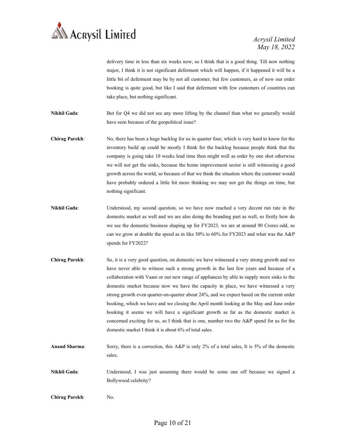

delivery time in less than six weeks now, so I think that is a good thing. Till now nothing major, I think it is not significant deferment which will happen, if it happened it will be a little bit of deferment may be by not all customer, but few customers, as of now our order booking is quite good, but like I said that deferment with few customers of countries can take place, but nothing significant.

Nikhil Gada: But for Q4 we did not see any more lifting by the channel than what we generally would have seen because of the geopolitical issue?

Chirag Parekh: No, there has been a huge backlog for us in quarter four, which is very hard to know for the inventory build up could be mostly I think for the backlog because people think that the company is going take 10 weeks lead time then might well as order by one shot otherwise we will not get the sinks, because the home improvement sector is still witnessing a good growth across the world, so because of that we think the situation where the customer would have probably ordered a little bit more thinking we may not get the things on time, but nothing significant.

- Nikhil Gada: Understood, my second question, so we have now reached a very decent run rate in the domestic market as well and we are also doing the branding part as well, so firstly how do we see the domestic business shaping up for FY2023, we are at around 90 Crores odd, so can we grow at double the speed as in like 50% to 60% for FY2023 and what was the A&P spends for FY2022?
- Chirag Parekh: So, it is a very good question, on domestic we have witnessed a very strong growth and we have never able to witness such a strong growth in the last few years and because of a collaboration with Vaani or our new range of appliances by able to supply more sinks to the domestic market because now we have the capacity in place, we have witnessed a very strong growth even quarter-on-quarter about 24%, and we expect based on the current order booking, which we have and we closing the April month looking at the May and June order booking it seems we will have a significant growth as far as the domestic market is concerned exciting for us, so I think that is one, number two the A&P spend for us for the domestic market I think it is about 6% of total sales.
- Anand Sharma: Sorry, there is a correction, this A&P is only 2% of a total sales, It is 5% of the domestic sales.
- Nikhil Gada: Understood, I was just assuming there would be some one off because we signed a Bollywood celebrity?
- Chirag Parekh: No.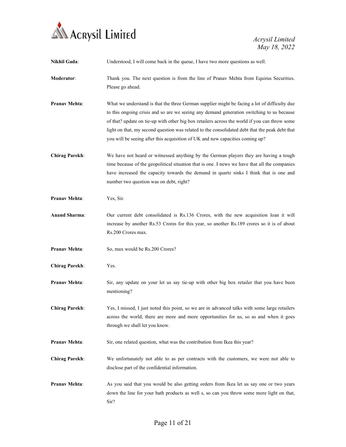

| <b>Nikhil Gada:</b>   | Understood, I will come back in the queue, I have two more questions as well.                                                                                                                                                                                                                                                                                                                                                                                                 |
|-----------------------|-------------------------------------------------------------------------------------------------------------------------------------------------------------------------------------------------------------------------------------------------------------------------------------------------------------------------------------------------------------------------------------------------------------------------------------------------------------------------------|
| Moderator:            | Thank you. The next question is from the line of Pranav Mehta from Equirus Securities.<br>Please go ahead.                                                                                                                                                                                                                                                                                                                                                                    |
| <b>Pranav Mehta:</b>  | What we understand is that the three German supplier might be facing a lot of difficulty due<br>to this ongoing crisis and so are we seeing any demand generation switching to us because<br>of that? update on tie-up with other big box retailers across the world if you can throw some<br>light on that, my second question was related to the consolidated debt that the peak debt that<br>you will be seeing after this acquisition of UK and new capacities coming up? |
| <b>Chirag Parekh:</b> | We have not heard or witnessed anything by the German players they are having a tough<br>time because of the geopolitical situation that is one. I news we have that all the companies<br>have increased the capacity towards the demand in quartz sinks I think that is one and<br>number two question was on debt, right?                                                                                                                                                   |
| <b>Pranav Mehta:</b>  | Yes, Sir.                                                                                                                                                                                                                                                                                                                                                                                                                                                                     |
| <b>Anand Sharma:</b>  | Our current debt consolidated is Rs.136 Crores, with the new acquisition loan it will<br>increase by another Rs.53 Crores for this year, so another Rs.189 crores so it is of about<br>Rs.200 Crores max.                                                                                                                                                                                                                                                                     |
| <b>Pranav Mehta:</b>  | So, max would be Rs.200 Crores?                                                                                                                                                                                                                                                                                                                                                                                                                                               |
| <b>Chirag Parekh:</b> | Yes.                                                                                                                                                                                                                                                                                                                                                                                                                                                                          |
| <b>Pranav Mehta:</b>  | Sir, any update on your let us say tie-up with other big box retailer that you have been<br>mentioning?                                                                                                                                                                                                                                                                                                                                                                       |
| <b>Chirag Parekh:</b> | Yes, I missed, I just noted this point, so we are in advanced talks with some large retailers<br>across the world, there are more and more opportunities for us, so as and when it goes<br>through we shall let you know.                                                                                                                                                                                                                                                     |
| Pranav Mehta:         | Sir, one related question, what was the contribution from Ikea this year?                                                                                                                                                                                                                                                                                                                                                                                                     |
| <b>Chirag Parekh:</b> | We unfortunately not able to as per contracts with the customers, we were not able to<br>disclose part of the confidential information.                                                                                                                                                                                                                                                                                                                                       |
| <b>Pranav Mehta:</b>  | As you said that you would be also getting orders from Ikea let us say one or two years<br>down the line for your bath products as well s, so can you throw some more light on that,<br>Sir?                                                                                                                                                                                                                                                                                  |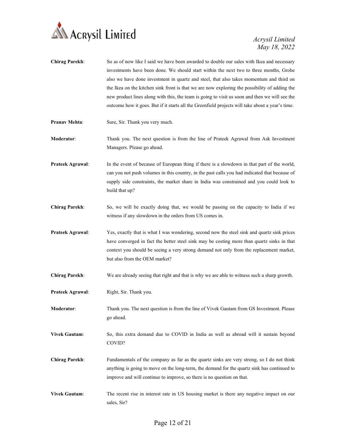

| <b>Chirag Parekh:</b> | So as of now like I said we have been awarded to double our sales with Ikea and necessary<br>investments have been done. We should start within the next two to three months, Grohe<br>also we have done investment in quartz and steel, that also takes momentum and third on<br>the Ikea on the kitchen sink front is that we are now exploring the possibility of adding the<br>new product lines along with this, the team is going to visit us soon and then we will see the<br>outcome how it goes. But if it starts all the Greenfield projects will take about a year's time. |
|-----------------------|---------------------------------------------------------------------------------------------------------------------------------------------------------------------------------------------------------------------------------------------------------------------------------------------------------------------------------------------------------------------------------------------------------------------------------------------------------------------------------------------------------------------------------------------------------------------------------------|
| <b>Pranav Mehta:</b>  | Sure, Sir. Thank you very much.                                                                                                                                                                                                                                                                                                                                                                                                                                                                                                                                                       |
| Moderator:            | Thank you. The next question is from the line of Prateek Agrawal from Ask Investment<br>Managers. Please go ahead.                                                                                                                                                                                                                                                                                                                                                                                                                                                                    |
| Prateek Agrawal:      | In the event of because of European thing if there is a slowdown in that part of the world,<br>can you not push volumes in this country, in the past calls you had indicated that because of<br>supply side constraints, the market share in India was constrained and you could look to<br>build that up?                                                                                                                                                                                                                                                                            |
| <b>Chirag Parekh:</b> | So, we will be exactly doing that, we would be passing on the capacity to India if we<br>witness if any slowdown in the orders from US comes in.                                                                                                                                                                                                                                                                                                                                                                                                                                      |
| Prateek Agrawal:      | Yes, exactly that is what I was wondering, second now the steel sink and quartz sink prices<br>have converged in fact the better steel sink may be costing more than quartz sinks in that<br>context you should be seeing a very strong demand not only from the replacement market,<br>but also from the OEM market?                                                                                                                                                                                                                                                                 |
| <b>Chirag Parekh:</b> | We are already seeing that right and that is why we are able to witness such a sharp growth.                                                                                                                                                                                                                                                                                                                                                                                                                                                                                          |
| Prateek Agrawal:      | Right, Sir. Thank you.                                                                                                                                                                                                                                                                                                                                                                                                                                                                                                                                                                |
| <b>Moderator:</b>     | Thank you. The next question is from the line of Vivek Gautam from GS Investment. Please<br>go ahead.                                                                                                                                                                                                                                                                                                                                                                                                                                                                                 |
| <b>Vivek Gautam:</b>  | So, this extra demand due to COVID in India as well as abroad will it sustain beyond<br>COVID?                                                                                                                                                                                                                                                                                                                                                                                                                                                                                        |
| <b>Chirag Parekh:</b> | Fundamentals of the company as far as the quartz sinks are very strong, so I do not think<br>anything is going to move on the long-term, the demand for the quartz sink has continued to<br>improve and will continue to improve, so there is no question on that.                                                                                                                                                                                                                                                                                                                    |
| <b>Vivek Gautam:</b>  | The recent rise in interest rate in US housing market is there any negative impact on our<br>sales, Sir?                                                                                                                                                                                                                                                                                                                                                                                                                                                                              |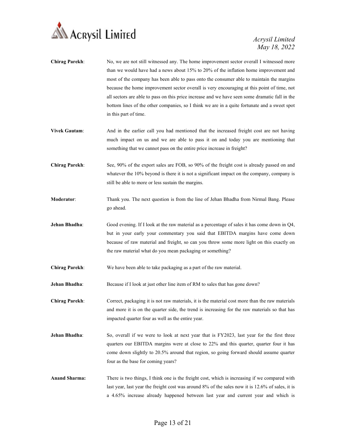

- Chirag Parekh: No, we are not still witnessed any. The home improvement sector overall I witnessed more than we would have had a news about 15% to 20% of the inflation home improvement and most of the company has been able to pass onto the consumer able to maintain the margins because the home improvement sector overall is very encouraging at this point of time, not all sectors are able to pass on this price increase and we have seen some dramatic fall in the bottom lines of the other companies, so I think we are in a quite fortunate and a sweet spot in this part of time.
- Vivek Gautam: And in the earlier call you had mentioned that the increased freight cost are not having much impact on us and we are able to pass it on and today you are mentioning that something that we cannot pass on the entire price increase in freight?
- Chirag Parekh: See, 90% of the export sales are FOB, so 90% of the freight cost is already passed on and whatever the 10% beyond is there it is not a significant impact on the company, company is still be able to more or less sustain the margins.
- Moderator: Thank you. The next question is from the line of Jehan Bhadha from Nirmal Bang. Please go ahead.
- Jehan Bhadha: Good evening. If I look at the raw material as a percentage of sales it has come down in Q4, but in your early your commentary you said that EBITDA margins have come down because of raw material and freight, so can you throw some more light on this exactly on the raw material what do you mean packaging or something?
- Chirag Parekh: We have been able to take packaging as a part of the raw material.
- **Jehan Bhadha:** Because if I look at just other line item of RM to sales that has gone down?

Chirag Parekh: Correct, packaging it is not raw materials, it is the material cost more than the raw materials and more it is on the quarter side, the trend is increasing for the raw materials so that has impacted quarter four as well as the entire year.

- Jehan Bhadha: So, overall if we were to look at next year that is FY2023, last year for the first three quarters our EBITDA margins were at close to 22% and this quarter, quarter four it has come down slightly to 20.5% around that region, so going forward should assume quarter four as the base for coming years?
- Anand Sharma: There is two things, I think one is the freight cost, which is increasing if we compared with last year, last year the freight cost was around 8% of the sales now it is 12.6% of sales, it is a 4.65% increase already happened between last year and current year and which is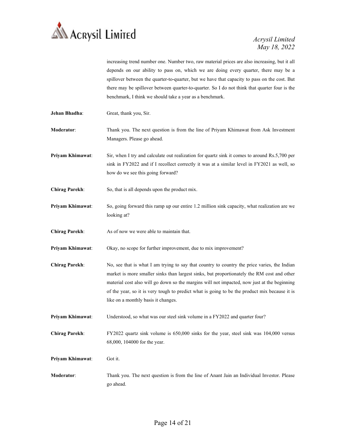

increasing trend number one. Number two, raw material prices are also increasing, but it all depends on our ability to pass on, which we are doing every quarter, there may be a spillover between the quarter-to-quarter, but we have that capacity to pass on the cost. But there may be spillover between quarter-to-quarter. So I do not think that quarter four is the benchmark, I think we should take a year as a benchmark.

Jehan Bhadha: Great, thank you, Sir.

Moderator: Thank you. The next question is from the line of Priyam Khimawat from Ask Investment Managers. Please go ahead.

Priyam Khimawat: Sir, when I try and calculate out realization for quartz sink it comes to around Rs.5,700 per sink in FY2022 and if I recollect correctly it was at a similar level in FY2021 as well, so how do we see this going forward?

- Chirag Parekh: So, that is all depends upon the product mix.
- Priyam Khimawat: So, going forward this ramp up our entire 1.2 million sink capacity, what realization are we looking at?

Chirag Parekh: As of now we were able to maintain that.

- Priyam Khimawat: Okay, no scope for further improvement, due to mix improvement?
- Chirag Parekh: No, see that is what I am trying to say that country to country the price varies, the Indian market is more smaller sinks than largest sinks, but proportionately the RM cost and other material cost also will go down so the margins will not impacted, now just at the beginning of the year, so it is very tough to predict what is going to be the product mix because it is like on a monthly basis it changes.
- Priyam Khimawat: Understood, so what was our steel sink volume in a FY2022 and quarter four?
- Chirag Parekh: FY2022 quartz sink volume is 650,000 sinks for the year, steel sink was 104,000 versus 68,000, 104000 for the year.

Priyam Khimawat: Got it.

Moderator: Thank you. The next question is from the line of Anant Jain an Individual Investor. Please go ahead.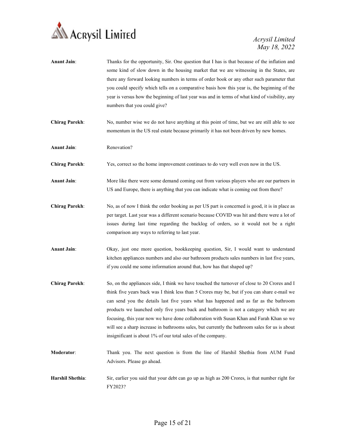

| <b>Anant Jain:</b>    | Thanks for the opportunity, Sir. One question that I has is that because of the inflation and<br>some kind of slow down in the housing market that we are witnessing in the States, are<br>there any forward looking numbers in terms of order book or any other such parameter that<br>you could specify which tells on a comparative basis how this year is, the beginning of the<br>year is versus how the beginning of last year was and in terms of what kind of visibility, any<br>numbers that you could give?                                                                                                                      |
|-----------------------|--------------------------------------------------------------------------------------------------------------------------------------------------------------------------------------------------------------------------------------------------------------------------------------------------------------------------------------------------------------------------------------------------------------------------------------------------------------------------------------------------------------------------------------------------------------------------------------------------------------------------------------------|
| <b>Chirag Parekh:</b> | No, number wise we do not have anything at this point of time, but we are still able to see<br>momentum in the US real estate because primarily it has not been driven by new homes.                                                                                                                                                                                                                                                                                                                                                                                                                                                       |
| <b>Anant Jain:</b>    | Renovation?                                                                                                                                                                                                                                                                                                                                                                                                                                                                                                                                                                                                                                |
| <b>Chirag Parekh:</b> | Yes, correct so the home improvement continues to do very well even now in the US.                                                                                                                                                                                                                                                                                                                                                                                                                                                                                                                                                         |
| <b>Anant Jain:</b>    | More like there were some demand coming out from various players who are our partners in<br>US and Europe, there is anything that you can indicate what is coming out from there?                                                                                                                                                                                                                                                                                                                                                                                                                                                          |
| <b>Chirag Parekh:</b> | No, as of now I think the order booking as per US part is concerned is good, it is in place as<br>per target. Last year was a different scenario because COVID was hit and there were a lot of<br>issues during last time regarding the backlog of orders, so it would not be a right<br>comparison any ways to referring to last year.                                                                                                                                                                                                                                                                                                    |
| <b>Anant Jain:</b>    | Okay, just one more question, bookkeeping question, Sir, I would want to understand<br>kitchen appliances numbers and also our bathroom products sales numbers in last five years,<br>if you could me some information around that, how has that shaped up?                                                                                                                                                                                                                                                                                                                                                                                |
| <b>Chirag Parekh:</b> | So, on the appliances side, I think we have touched the turnover of close to 20 Crores and I<br>think five years back was I think less than 5 Crores may be, but if you can share e-mail we<br>can send you the details last five years what has happened and as far as the bathroom<br>products we launched only five years back and bathroom is not a category which we are<br>focusing, this year now we have done collaboration with Susan Khan and Farah Khan so we<br>will see a sharp increase in bathrooms sales, but currently the bathroom sales for us is about<br>insignificant is about 1% of our total sales of the company. |
| Moderator:            | Thank you. The next question is from the line of Harshil Shethia from AUM Fund<br>Advisors. Please go ahead.                                                                                                                                                                                                                                                                                                                                                                                                                                                                                                                               |
| Harshil Shethia:      | Sir, earlier you said that your debt can go up as high as 200 Crores, is that number right for<br>FY2023?                                                                                                                                                                                                                                                                                                                                                                                                                                                                                                                                  |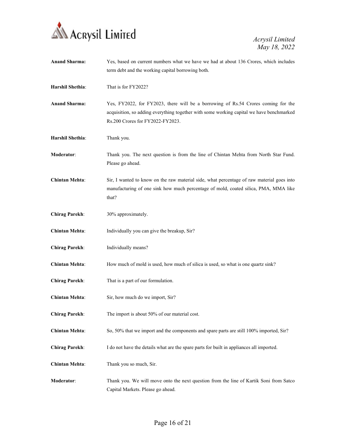

| <b>Anand Sharma:</b>  | Yes, based on current numbers what we have we had at about 136 Crores, which includes<br>term debt and the working capital borrowing both.                                                                        |
|-----------------------|-------------------------------------------------------------------------------------------------------------------------------------------------------------------------------------------------------------------|
| Harshil Shethia:      | That is for FY2022?                                                                                                                                                                                               |
| <b>Anand Sharma:</b>  | Yes, FY2022, for FY2023, there will be a borrowing of Rs.54 Crores coming for the<br>acquisition, so adding everything together with some working capital we have benchmarked<br>Rs.200 Crores for FY2022-FY2023. |
| Harshil Shethia:      | Thank you.                                                                                                                                                                                                        |
| Moderator:            | Thank you. The next question is from the line of Chintan Mehta from North Star Fund.<br>Please go ahead.                                                                                                          |
| <b>Chintan Mehta:</b> | Sir, I wanted to know on the raw material side, what percentage of raw material goes into<br>manufacturing of one sink how much percentage of mold, coated silica, PMA, MMA like<br>that?                         |
| <b>Chirag Parekh:</b> | 30% approximately.                                                                                                                                                                                                |
| <b>Chintan Mehta:</b> | Individually you can give the breakup, Sir?                                                                                                                                                                       |
| <b>Chirag Parekh:</b> | Individually means?                                                                                                                                                                                               |
| <b>Chintan Mehta:</b> | How much of mold is used, how much of silica is used, so what is one quartz sink?                                                                                                                                 |
| <b>Chirag Parekh:</b> | That is a part of our formulation.                                                                                                                                                                                |
| <b>Chintan Mehta:</b> | Sir, how much do we import, Sir?                                                                                                                                                                                  |
| <b>Chirag Parekh:</b> | The import is about 50% of our material cost.                                                                                                                                                                     |
| <b>Chintan Mehta:</b> | So, 50% that we import and the components and spare parts are still 100% imported, Sir?                                                                                                                           |
| <b>Chirag Parekh:</b> | I do not have the details what are the spare parts for built in appliances all imported.                                                                                                                          |
| <b>Chintan Mehta:</b> | Thank you so much, Sir.                                                                                                                                                                                           |
| Moderator:            | Thank you. We will move onto the next question from the line of Kartik Soni from Satco<br>Capital Markets. Please go ahead.                                                                                       |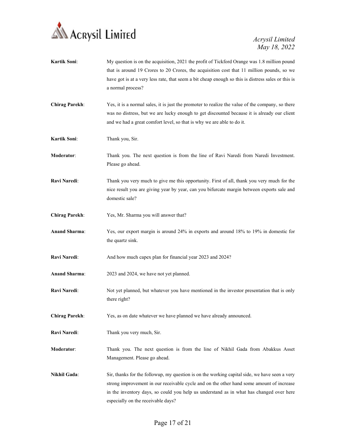

Kartik Soni: My question is on the acquisition, 2021 the profit of Tickford Orange was 1.8 million pound that is around 19 Crores to 20 Crores, the acquisition cost that 11 million pounds, so we have got is at a very less rate, that seem a bit cheap enough so this is distress sales or this is a normal process? Chirag Parekh: Yes, it is a normal sales, it is just the promoter to realize the value of the company, so there was no distress, but we are lucky enough to get discounted because it is already our client and we had a great comfort level, so that is why we are able to do it. Kartik Soni: Thank you, Sir. Moderator: Thank you. The next question is from the line of Ravi Naredi from Naredi Investment. Please go ahead. Ravi Naredi: Thank you very much to give me this opportunity. First of all, thank you very much for the nice result you are giving year by year, can you bifurcate margin between exports sale and domestic sale? Chirag Parekh: Yes, Mr. Sharma you will answer that? Anand Sharma: Yes, our export margin is around 24% in exports and around 18% to 19% in domestic for the quartz sink. Ravi Naredi: And how much capex plan for financial year 2023 and 2024? Anand Sharma: 2023 and 2024, we have not yet planned. Ravi Naredi: Not yet planned, but whatever you have mentioned in the investor presentation that is only there right? Chirag Parekh: Yes, as on date whatever we have planned we have already announced. Ravi Naredi: Thank you very much, Sir. Moderator: Thank you. The next question is from the line of Nikhil Gada from Abakkus Asset Management. Please go ahead. Nikhil Gada: Sir, thanks for the followup, my question is on the working capital side, we have seen a very strong improvement in our receivable cycle and on the other hand some amount of increase in the inventory days, so could you help us understand as in what has changed over here especially on the receivable days?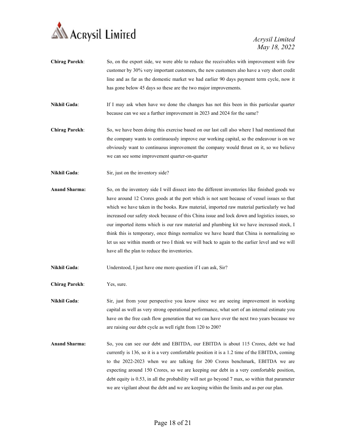

- Chirag Parekh: So, on the export side, we were able to reduce the receivables with improvement with few customer by 30% very important customers, the new customers also have a very short credit line and as far as the domestic market we had earlier 90 days payment term cycle, now it has gone below 45 days so these are the two major improvements.
- Nikhil Gada: If I may ask when have we done the changes has not this been in this particular quarter because can we see a further improvement in 2023 and 2024 for the same?
- Chirag Parekh: So, we have been doing this exercise based on our last call also where I had mentioned that the company wants to continuously improve our working capital, so the endeavour is on we obviously want to continuous improvement the company would thrust on it, so we believe we can see some improvement quarter-on-quarter
- Nikhil Gada: Sir, just on the inventory side?
- Anand Sharma: So, on the inventory side I will dissect into the different inventories like finished goods we have around 12 Crores goods at the port which is not sent because of vessel issues so that which we have taken in the books. Raw material, imported raw material particularly we had increased our safety stock because of this China issue and lock down and logistics issues, so our imported items which is our raw material and plumbing kit we have increased stock, I think this is temporary, once things normalize we have heard that China is normalizing so let us see within month or two I think we will back to again to the earlier level and we will have all the plan to reduce the inventories.

Nikhil Gada: Understood, I just have one more question if I can ask, Sir?

Chirag Parekh: Yes, sure.

Nikhil Gada: Sir, just from your perspective you know since we are seeing improvement in working capital as well as very strong operational performance, what sort of an internal estimate you have on the free cash flow generation that we can have over the next two years because we are raising our debt cycle as well right from 120 to 200?

Anand Sharma: So, you can see our debt and EBITDA, our EBITDA is about 115 Crores, debt we had currently is 136, so it is a very comfortable position it is a 1.2 time of the EBITDA, coming to the 2022-2023 when we are talking for 200 Crores benchmark, EBITDA we are expecting around 150 Crores, so we are keeping our debt in a very comfortable position, debt equity is 0.53, in all the probability will not go beyond 7 max, so within that parameter we are vigilant about the debt and we are keeping within the limits and as per our plan.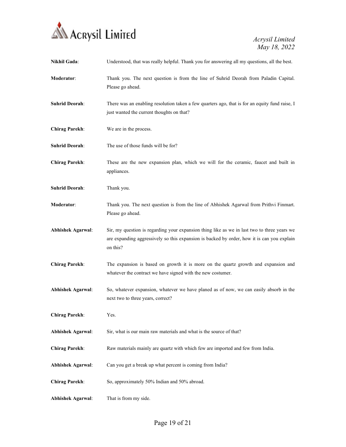

| Nikhil Gada:             | Understood, that was really helpful. Thank you for answering all my questions, all the best.                                                                                                          |
|--------------------------|-------------------------------------------------------------------------------------------------------------------------------------------------------------------------------------------------------|
| Moderator:               | Thank you. The next question is from the line of Suhrid Deorah from Paladin Capital.<br>Please go ahead.                                                                                              |
| <b>Suhrid Deorah:</b>    | There was an enabling resolution taken a few quarters ago, that is for an equity fund raise, I<br>just wanted the current thoughts on that?                                                           |
| <b>Chirag Parekh:</b>    | We are in the process.                                                                                                                                                                                |
| <b>Suhrid Deorah:</b>    | The use of those funds will be for?                                                                                                                                                                   |
| <b>Chirag Parekh:</b>    | These are the new expansion plan, which we will for the ceramic, faucet and built in<br>appliances.                                                                                                   |
| <b>Suhrid Deorah:</b>    | Thank you.                                                                                                                                                                                            |
| Moderator:               | Thank you. The next question is from the line of Abhishek Agarwal from Prithvi Finmart.<br>Please go ahead.                                                                                           |
| <b>Abhishek Agarwal:</b> | Sir, my question is regarding your expansion thing like as we in last two to three years we<br>are expanding aggressively so this expansion is backed by order, how it is can you explain<br>on this? |
| <b>Chirag Parekh:</b>    | The expansion is based on growth it is more on the quartz growth and expansion and<br>whatever the contract we have signed with the new costumer.                                                     |
| <b>Abhishek Agarwal:</b> | So, whatever expansion, whatever we have planed as of now, we can easily absorb in the<br>next two to three years, correct?                                                                           |
| <b>Chirag Parekh:</b>    | Yes.                                                                                                                                                                                                  |
| <b>Abhishek Agarwal:</b> | Sir, what is our main raw materials and what is the source of that?                                                                                                                                   |
| <b>Chirag Parekh:</b>    | Raw materials mainly are quartz with which few are imported and few from India.                                                                                                                       |
| <b>Abhishek Agarwal:</b> | Can you get a break up what percent is coming from India?                                                                                                                                             |
| <b>Chirag Parekh:</b>    | So, approximately 50% Indian and 50% abroad.                                                                                                                                                          |
| <b>Abhishek Agarwal:</b> | That is from my side.                                                                                                                                                                                 |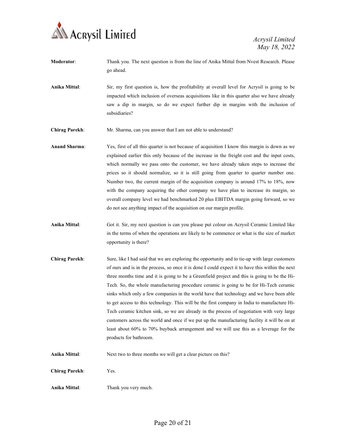

- Moderator: Thank you. The next question is from the line of Anika Mittal from Nvest Research. Please go ahead.
- Anika Mittal: Sir, my first question is, how the profitability at overall level for Acrysil is going to be impacted which inclusion of overseas acquisitions like in this quarter also we have already saw a dip in margin, so do we expect further dip in margins with the inclusion of subsidiaries?
- Chirag Parekh: Mr. Sharma, can you answer that I am not able to understand?
- Anand Sharma: Yes, first of all this quarter is not because of acquisition I know this margin is down as we explained earlier this only because of the increase in the freight cost and the input costs, which normally we pass onto the customer, we have already taken steps to increase the prices so it should normalize, so it is still going from quarter to quarter number one. Number two, the current margin of the acquisition company is around 17% to 18%, now with the company acquiring the other company we have plan to increase its margin, so overall company level we had benchmarked 20 plus EBITDA margin going forward, so we do not see anything impact of the acquisition on our margin profile.
- Anika Mittal: Got it. Sir, my next question is can you please put colour on Acrysil Ceramic Limited like in the terms of when the operations are likely to be commence or what is the size of market opportunity is there?
- Chirag Parekh: Sure, like I had said that we are exploring the opportunity and to tie-up with large customers of ours and is in the process, so once it is done I could expect it to have this within the next three months time and it is going to be a Greenfield project and this is going to be the Hi-Tech. So, the whole manufacturing procedure ceramic is going to be for Hi-Tech ceramic sinks which only a few companies in the world have that technology and we have been able to get access to this technology. This will be the first company in India to manufacture Hi-Tech ceramic kitchen sink, so we are already in the process of negotiation with very large customers across the world and once if we put up the manufacturing facility it will be on at least about 60% to 70% buyback arrangement and we will use this as a leverage for the products for bathroom.
- Anika Mittal: Next two to three months we will get a clear picture on this?
- Chirag Parekh: Yes.
- Anika Mittal: Thank you very much.